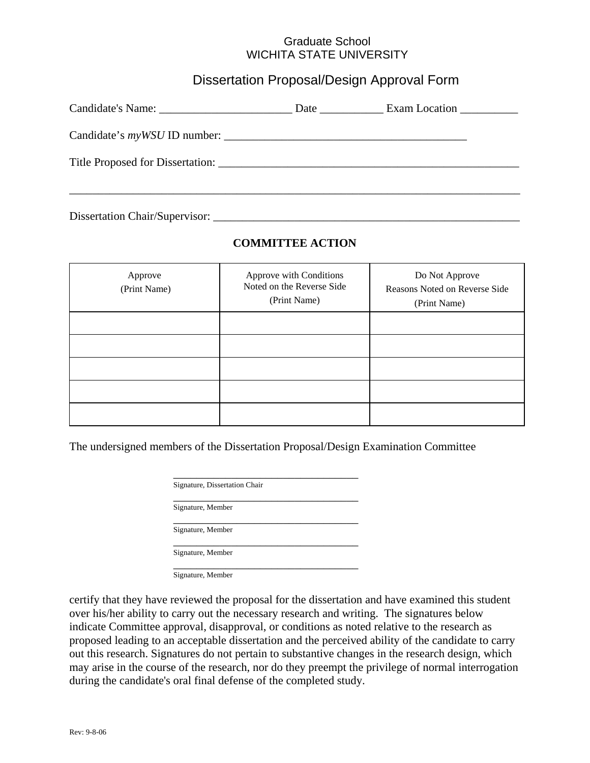## Graduate School WICHITA STATE UNIVERSITY

## Dissertation Proposal/Design Approval Form

| <b>Date</b> the same of the same of the same of the same of the same of the same of the same of the same of the same of the same of the same of the same of the same of the same of the same of the same of the same of the same of | Exam Location ___________ |
|-------------------------------------------------------------------------------------------------------------------------------------------------------------------------------------------------------------------------------------|---------------------------|
|                                                                                                                                                                                                                                     |                           |
|                                                                                                                                                                                                                                     |                           |
|                                                                                                                                                                                                                                     |                           |

Dissertation Chair/Supervisor: \_\_\_\_\_\_\_\_\_\_\_\_\_\_\_\_\_\_\_\_\_\_\_\_\_\_\_\_\_\_\_\_\_\_\_\_\_\_\_\_\_\_\_\_\_\_\_\_\_\_\_\_\_

## **COMMITTEE ACTION**

| Approve<br>(Print Name) | Approve with Conditions<br>Noted on the Reverse Side<br>(Print Name) | Do Not Approve<br>Reasons Noted on Reverse Side<br>(Print Name) |
|-------------------------|----------------------------------------------------------------------|-----------------------------------------------------------------|
|                         |                                                                      |                                                                 |
|                         |                                                                      |                                                                 |
|                         |                                                                      |                                                                 |
|                         |                                                                      |                                                                 |
|                         |                                                                      |                                                                 |

The undersigned members of the Dissertation Proposal/Design Examination Committee

| Signature, Dissertation Chair |  |  |
|-------------------------------|--|--|
|                               |  |  |
|                               |  |  |
|                               |  |  |
|                               |  |  |

certify that they have reviewed the proposal for the dissertation and have examined this student over his/her ability to carry out the necessary research and writing. The signatures below indicate Committee approval, disapproval, or conditions as noted relative to the research as proposed leading to an acceptable dissertation and the perceived ability of the candidate to carry out this research. Signatures do not pertain to substantive changes in the research design, which may arise in the course of the research, nor do they preempt the privilege of normal interrogation during the candidate's oral final defense of the completed study.